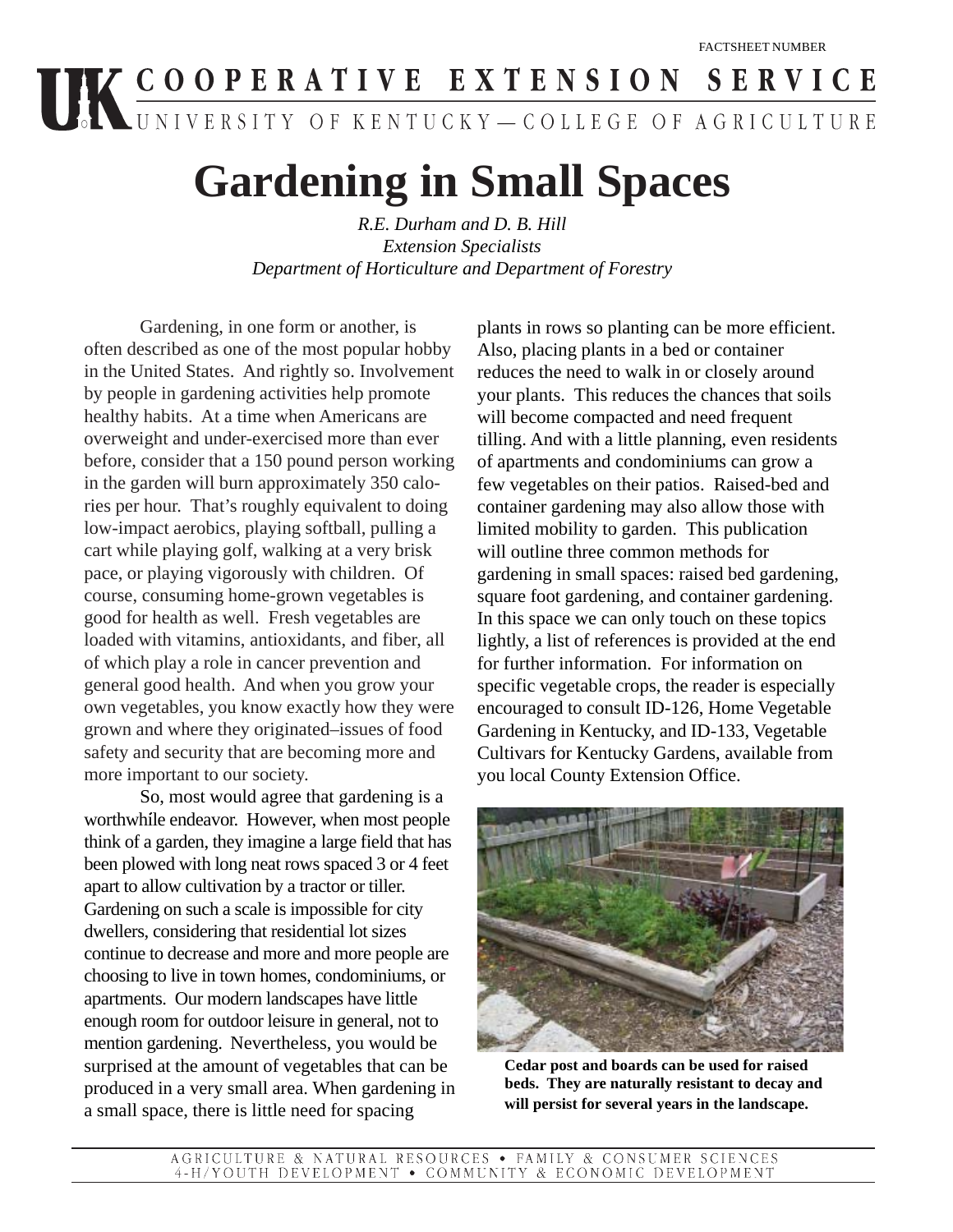# UK COOPERATIVE EXTENSION SERVICE

# **Gardening in Small Spaces**

*R.E. Durham and D. B. Hill Extension Specialists Department of Horticulture and Department of Forestry*

Gardening, in one form or another, is often described as one of the most popular hobby in the United States. And rightly so. Involvement by people in gardening activities help promote healthy habits. At a time when Americans are overweight and under-exercised more than ever before, consider that a 150 pound person working in the garden will burn approximately 350 calories per hour. That's roughly equivalent to doing low-impact aerobics, playing softball, pulling a cart while playing golf, walking at a very brisk pace, or playing vigorously with children. Of course, consuming home-grown vegetables is good for health as well. Fresh vegetables are loaded with vitamins, antioxidants, and fiber, all of which play a role in cancer prevention and general good health. And when you grow your own vegetables, you know exactly how they were grown and where they originated–issues of food safety and security that are becoming more and more important to our society.

So, most would agree that gardening is a worthwhile endeavor. However, when most people think of a garden, they imagine a large field that has been plowed with long neat rows spaced 3 or 4 feet apart to allow cultivation by a tractor or tiller. Gardening on such a scale is impossible for city dwellers, considering that residential lot sizes continue to decrease and more and more people are choosing to live in town homes, condominiums, or apartments. Our modern landscapes have little enough room for outdoor leisure in general, not to mention gardening. Nevertheless, you would be surprised at the amount of vegetables that can be produced in a very small area. When gardening in a small space, there is little need for spacing

plants in rows so planting can be more efficient. Also, placing plants in a bed or container reduces the need to walk in or closely around your plants. This reduces the chances that soils will become compacted and need frequent tilling. And with a little planning, even residents of apartments and condominiums can grow a few vegetables on their patios. Raised-bed and container gardening may also allow those with limited mobility to garden. This publication will outline three common methods for gardening in small spaces: raised bed gardening, square foot gardening, and container gardening. In this space we can only touch on these topics lightly, a list of references is provided at the end for further information. For information on specific vegetable crops, the reader is especially encouraged to consult ID-126, Home Vegetable Gardening in Kentucky, and ID-133, Vegetable Cultivars for Kentucky Gardens, available from you local County Extension Office.



 **Cedar post and boards can be used for raised beds. They are naturally resistant to decay and will persist for several years in the landscape.**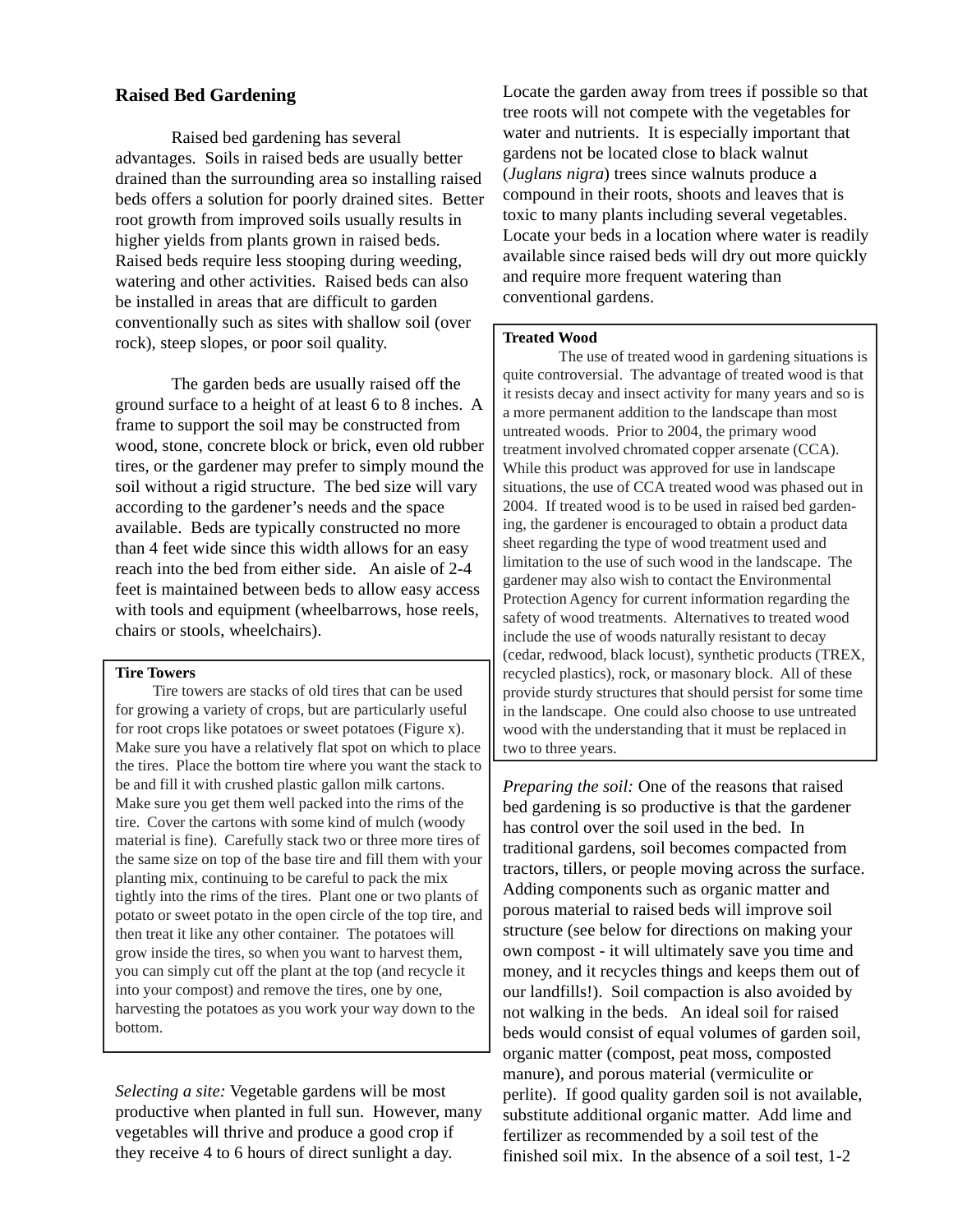#### **Raised Bed Gardening**

Raised bed gardening has several advantages. Soils in raised beds are usually better drained than the surrounding area so installing raised beds offers a solution for poorly drained sites. Better root growth from improved soils usually results in higher yields from plants grown in raised beds. Raised beds require less stooping during weeding, watering and other activities. Raised beds can also be installed in areas that are difficult to garden conventionally such as sites with shallow soil (over rock), steep slopes, or poor soil quality.

The garden beds are usually raised off the ground surface to a height of at least 6 to 8 inches. A frame to support the soil may be constructed from wood, stone, concrete block or brick, even old rubber tires, or the gardener may prefer to simply mound the soil without a rigid structure. The bed size will vary according to the gardener's needs and the space available. Beds are typically constructed no more than 4 feet wide since this width allows for an easy reach into the bed from either side. An aisle of 2-4 feet is maintained between beds to allow easy access with tools and equipment (wheelbarrows, hose reels, chairs or stools, wheelchairs).

#### **Tire Towers**

Tire towers are stacks of old tires that can be used for growing a variety of crops, but are particularly useful for root crops like potatoes or sweet potatoes (Figure x). Make sure you have a relatively flat spot on which to place the tires. Place the bottom tire where you want the stack to be and fill it with crushed plastic gallon milk cartons. Make sure you get them well packed into the rims of the tire. Cover the cartons with some kind of mulch (woody material is fine). Carefully stack two or three more tires of the same size on top of the base tire and fill them with your planting mix, continuing to be careful to pack the mix tightly into the rims of the tires. Plant one or two plants of potato or sweet potato in the open circle of the top tire, and then treat it like any other container. The potatoes will grow inside the tires, so when you want to harvest them, you can simply cut off the plant at the top (and recycle it into your compost) and remove the tires, one by one, harvesting the potatoes as you work your way down to the bottom.

*Selecting a site:* Vegetable gardens will be most productive when planted in full sun. However, many vegetables will thrive and produce a good crop if they receive 4 to 6 hours of direct sunlight a day.

Locate the garden away from trees if possible so that tree roots will not compete with the vegetables for water and nutrients. It is especially important that gardens not be located close to black walnut (*Juglans nigra*) trees since walnuts produce a compound in their roots, shoots and leaves that is toxic to many plants including several vegetables. Locate your beds in a location where water is readily available since raised beds will dry out more quickly and require more frequent watering than conventional gardens.

#### **Treated Wood**

The use of treated wood in gardening situations is quite controversial. The advantage of treated wood is that it resists decay and insect activity for many years and so is a more permanent addition to the landscape than most untreated woods. Prior to 2004, the primary wood treatment involved chromated copper arsenate (CCA). While this product was approved for use in landscape situations, the use of CCA treated wood was phased out in 2004. If treated wood is to be used in raised bed gardening, the gardener is encouraged to obtain a product data sheet regarding the type of wood treatment used and limitation to the use of such wood in the landscape. The gardener may also wish to contact the Environmental Protection Agency for current information regarding the safety of wood treatments. Alternatives to treated wood include the use of woods naturally resistant to decay (cedar, redwood, black locust), synthetic products (TREX, recycled plastics), rock, or masonary block. All of these provide sturdy structures that should persist for some time in the landscape. One could also choose to use untreated wood with the understanding that it must be replaced in two to three years.

*Preparing the soil:* One of the reasons that raised bed gardening is so productive is that the gardener has control over the soil used in the bed. In traditional gardens, soil becomes compacted from tractors, tillers, or people moving across the surface. Adding components such as organic matter and porous material to raised beds will improve soil structure (see below for directions on making your own compost - it will ultimately save you time and money, and it recycles things and keeps them out of our landfills!). Soil compaction is also avoided by not walking in the beds. An ideal soil for raised beds would consist of equal volumes of garden soil, organic matter (compost, peat moss, composted manure), and porous material (vermiculite or perlite). If good quality garden soil is not available, substitute additional organic matter. Add lime and fertilizer as recommended by a soil test of the finished soil mix. In the absence of a soil test, 1-2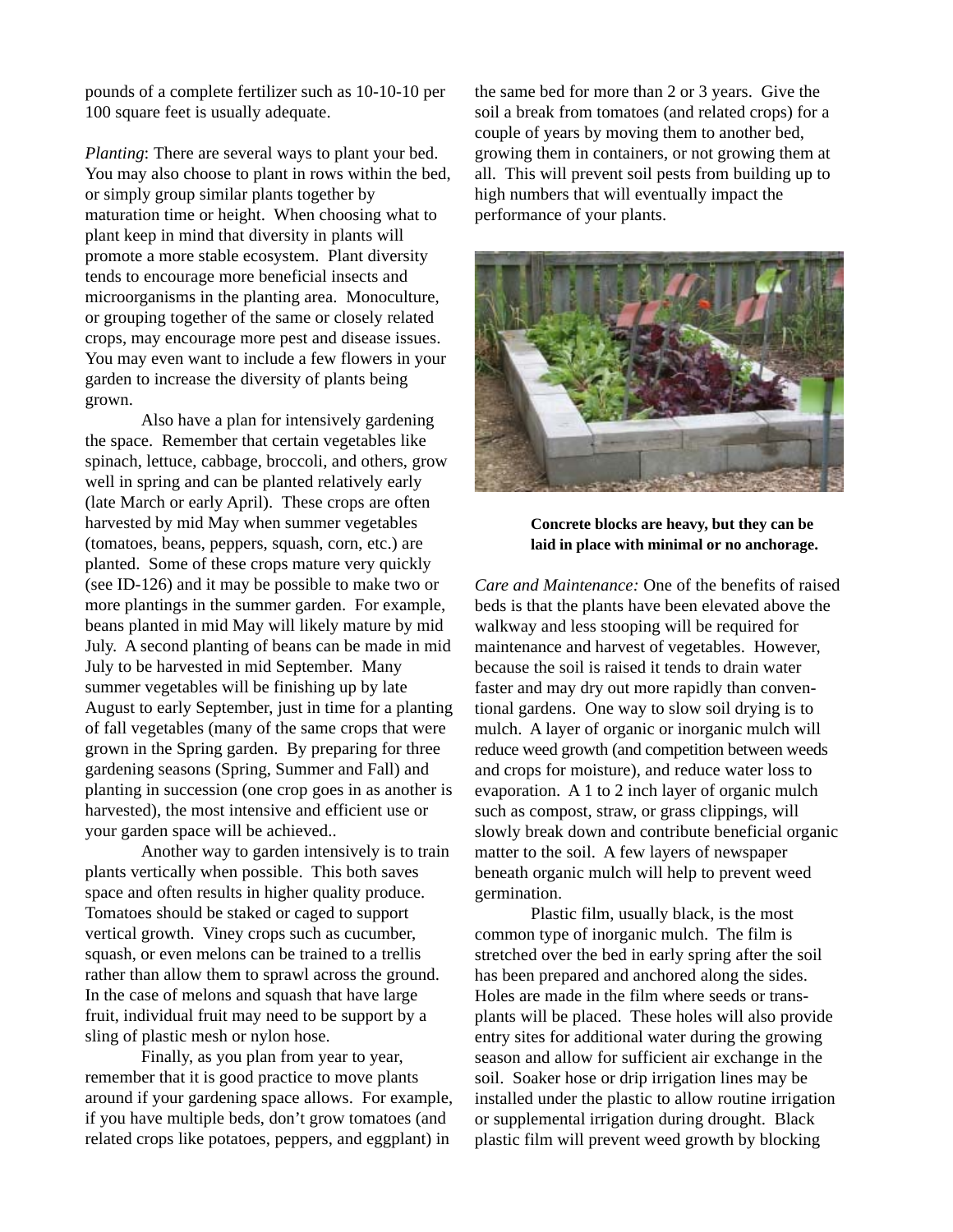pounds of a complete fertilizer such as 10-10-10 per 100 square feet is usually adequate.

*Planting*: There are several ways to plant your bed. You may also choose to plant in rows within the bed, or simply group similar plants together by maturation time or height. When choosing what to plant keep in mind that diversity in plants will promote a more stable ecosystem. Plant diversity tends to encourage more beneficial insects and microorganisms in the planting area. Monoculture, or grouping together of the same or closely related crops, may encourage more pest and disease issues. You may even want to include a few flowers in your garden to increase the diversity of plants being grown.

Also have a plan for intensively gardening the space. Remember that certain vegetables like spinach, lettuce, cabbage, broccoli, and others, grow well in spring and can be planted relatively early (late March or early April). These crops are often harvested by mid May when summer vegetables (tomatoes, beans, peppers, squash, corn, etc.) are planted. Some of these crops mature very quickly (see ID-126) and it may be possible to make two or more plantings in the summer garden. For example, beans planted in mid May will likely mature by mid July. A second planting of beans can be made in mid July to be harvested in mid September. Many summer vegetables will be finishing up by late August to early September, just in time for a planting of fall vegetables (many of the same crops that were grown in the Spring garden. By preparing for three gardening seasons (Spring, Summer and Fall) and planting in succession (one crop goes in as another is harvested), the most intensive and efficient use or your garden space will be achieved..

Another way to garden intensively is to train plants vertically when possible. This both saves space and often results in higher quality produce. Tomatoes should be staked or caged to support vertical growth. Viney crops such as cucumber, squash, or even melons can be trained to a trellis rather than allow them to sprawl across the ground. In the case of melons and squash that have large fruit, individual fruit may need to be support by a sling of plastic mesh or nylon hose.

Finally, as you plan from year to year, remember that it is good practice to move plants around if your gardening space allows. For example, if you have multiple beds, don't grow tomatoes (and related crops like potatoes, peppers, and eggplant) in

the same bed for more than 2 or 3 years. Give the soil a break from tomatoes (and related crops) for a couple of years by moving them to another bed, growing them in containers, or not growing them at all. This will prevent soil pests from building up to high numbers that will eventually impact the performance of your plants.



**Concrete blocks are heavy, but they can be laid in place with minimal or no anchorage.**

*Care and Maintenance:* One of the benefits of raised beds is that the plants have been elevated above the walkway and less stooping will be required for maintenance and harvest of vegetables. However, because the soil is raised it tends to drain water faster and may dry out more rapidly than conventional gardens. One way to slow soil drying is to mulch. A layer of organic or inorganic mulch will reduce weed growth (and competition between weeds and crops for moisture), and reduce water loss to evaporation. A 1 to 2 inch layer of organic mulch such as compost, straw, or grass clippings, will slowly break down and contribute beneficial organic matter to the soil. A few layers of newspaper beneath organic mulch will help to prevent weed germination.

Plastic film, usually black, is the most common type of inorganic mulch. The film is stretched over the bed in early spring after the soil has been prepared and anchored along the sides. Holes are made in the film where seeds or transplants will be placed. These holes will also provide entry sites for additional water during the growing season and allow for sufficient air exchange in the soil. Soaker hose or drip irrigation lines may be installed under the plastic to allow routine irrigation or supplemental irrigation during drought. Black plastic film will prevent weed growth by blocking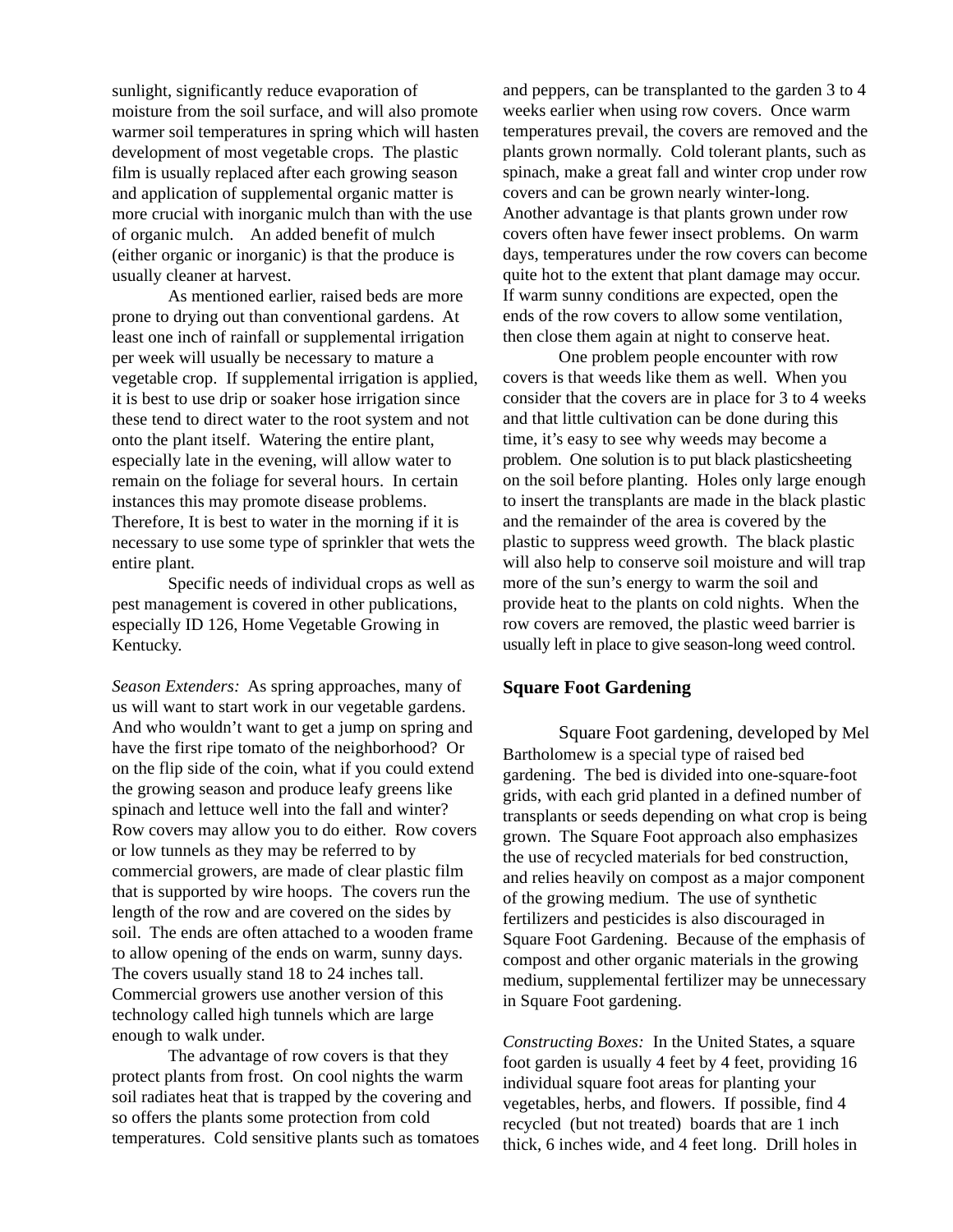sunlight, significantly reduce evaporation of moisture from the soil surface, and will also promote warmer soil temperatures in spring which will hasten development of most vegetable crops. The plastic film is usually replaced after each growing season and application of supplemental organic matter is more crucial with inorganic mulch than with the use of organic mulch. An added benefit of mulch (either organic or inorganic) is that the produce is usually cleaner at harvest.

As mentioned earlier, raised beds are more prone to drying out than conventional gardens. At least one inch of rainfall or supplemental irrigation per week will usually be necessary to mature a vegetable crop. If supplemental irrigation is applied, it is best to use drip or soaker hose irrigation since these tend to direct water to the root system and not onto the plant itself. Watering the entire plant, especially late in the evening, will allow water to remain on the foliage for several hours. In certain instances this may promote disease problems. Therefore, It is best to water in the morning if it is necessary to use some type of sprinkler that wets the entire plant.

Specific needs of individual crops as well as pest management is covered in other publications, especially ID 126, Home Vegetable Growing in Kentucky.

*Season Extenders:* As spring approaches, many of us will want to start work in our vegetable gardens. And who wouldn't want to get a jump on spring and have the first ripe tomato of the neighborhood? Or on the flip side of the coin, what if you could extend the growing season and produce leafy greens like spinach and lettuce well into the fall and winter? Row covers may allow you to do either. Row covers or low tunnels as they may be referred to by commercial growers, are made of clear plastic film that is supported by wire hoops. The covers run the length of the row and are covered on the sides by soil. The ends are often attached to a wooden frame to allow opening of the ends on warm, sunny days. The covers usually stand 18 to 24 inches tall. Commercial growers use another version of this technology called high tunnels which are large enough to walk under.

The advantage of row covers is that they protect plants from frost. On cool nights the warm soil radiates heat that is trapped by the covering and so offers the plants some protection from cold temperatures. Cold sensitive plants such as tomatoes and peppers, can be transplanted to the garden 3 to 4 weeks earlier when using row covers. Once warm temperatures prevail, the covers are removed and the plants grown normally. Cold tolerant plants, such as spinach, make a great fall and winter crop under row covers and can be grown nearly winter-long. Another advantage is that plants grown under row covers often have fewer insect problems. On warm days, temperatures under the row covers can become quite hot to the extent that plant damage may occur. If warm sunny conditions are expected, open the ends of the row covers to allow some ventilation, then close them again at night to conserve heat.

One problem people encounter with row covers is that weeds like them as well. When you consider that the covers are in place for 3 to 4 weeks and that little cultivation can be done during this time, it's easy to see why weeds may become a problem. One solution is to put black plasticsheeting on the soil before planting. Holes only large enough to insert the transplants are made in the black plastic and the remainder of the area is covered by the plastic to suppress weed growth. The black plastic will also help to conserve soil moisture and will trap more of the sun's energy to warm the soil and provide heat to the plants on cold nights. When the row covers are removed, the plastic weed barrier is usually left in place to give season-long weed control.

#### **Square Foot Gardening**

Square Foot gardening, developed by Mel Bartholomew is a special type of raised bed gardening. The bed is divided into one-square-foot grids, with each grid planted in a defined number of transplants or seeds depending on what crop is being grown. The Square Foot approach also emphasizes the use of recycled materials for bed construction, and relies heavily on compost as a major component of the growing medium. The use of synthetic fertilizers and pesticides is also discouraged in Square Foot Gardening. Because of the emphasis of compost and other organic materials in the growing medium, supplemental fertilizer may be unnecessary in Square Foot gardening.

*Constructing Boxes:* In the United States, a square foot garden is usually 4 feet by 4 feet, providing 16 individual square foot areas for planting your vegetables, herbs, and flowers. If possible, find 4 recycled (but not treated) boards that are 1 inch thick, 6 inches wide, and 4 feet long. Drill holes in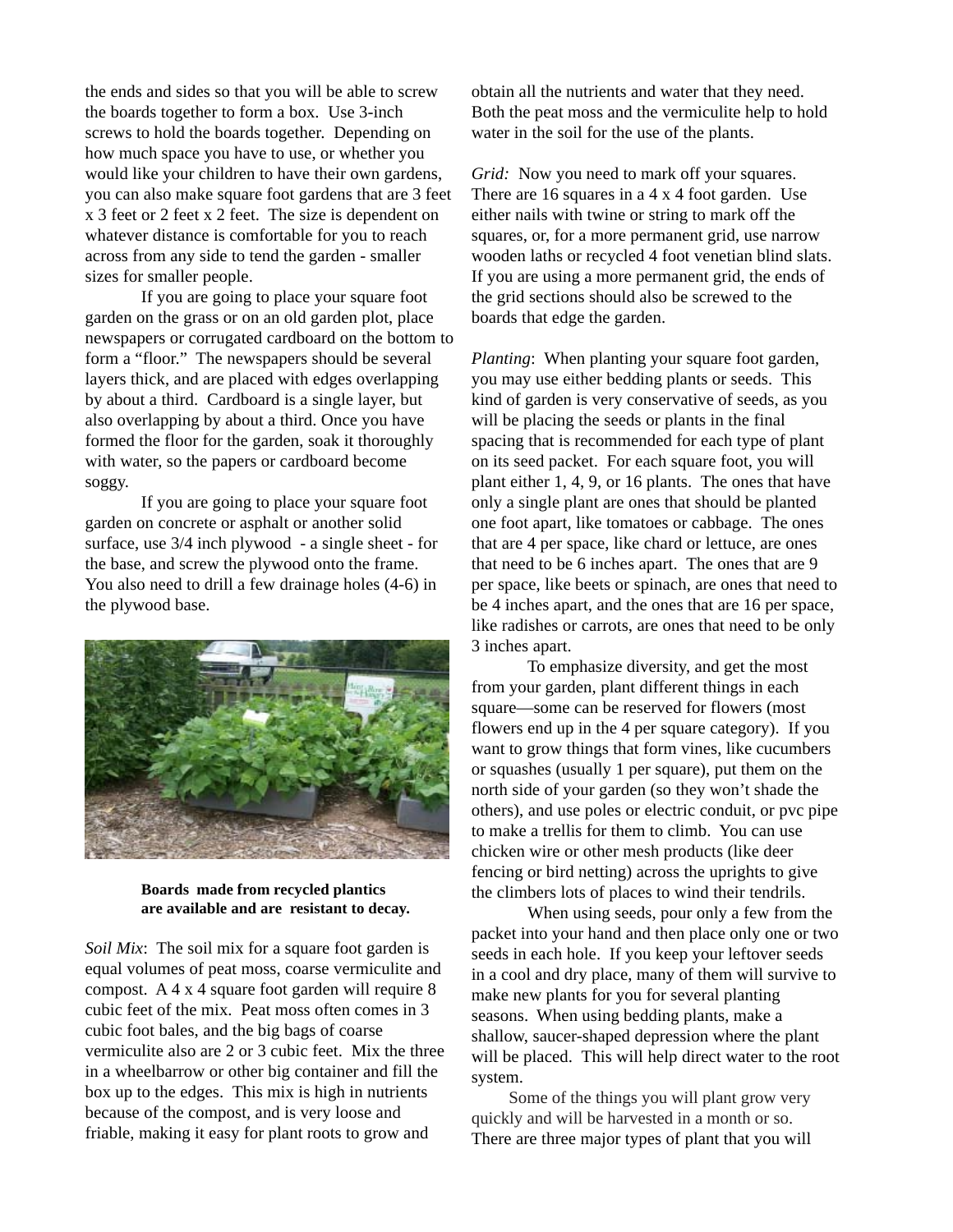the ends and sides so that you will be able to screw the boards together to form a box. Use 3-inch screws to hold the boards together. Depending on how much space you have to use, or whether you would like your children to have their own gardens, you can also make square foot gardens that are 3 feet x 3 feet or 2 feet x 2 feet. The size is dependent on whatever distance is comfortable for you to reach across from any side to tend the garden - smaller sizes for smaller people.

If you are going to place your square foot garden on the grass or on an old garden plot, place newspapers or corrugated cardboard on the bottom to form a "floor." The newspapers should be several layers thick, and are placed with edges overlapping by about a third. Cardboard is a single layer, but also overlapping by about a third. Once you have formed the floor for the garden, soak it thoroughly with water, so the papers or cardboard become soggy.

If you are going to place your square foot garden on concrete or asphalt or another solid surface, use 3/4 inch plywood - a single sheet - for the base, and screw the plywood onto the frame. You also need to drill a few drainage holes (4-6) in the plywood base.



**Boards made from recycled plantics are available and are resistant to decay.**

*Soil Mix*: The soil mix for a square foot garden is equal volumes of peat moss, coarse vermiculite and compost. A 4 x 4 square foot garden will require 8 cubic feet of the mix. Peat moss often comes in 3 cubic foot bales, and the big bags of coarse vermiculite also are 2 or 3 cubic feet. Mix the three in a wheelbarrow or other big container and fill the box up to the edges. This mix is high in nutrients because of the compost, and is very loose and friable, making it easy for plant roots to grow and

obtain all the nutrients and water that they need. Both the peat moss and the vermiculite help to hold water in the soil for the use of the plants.

*Grid:* Now you need to mark off your squares. There are 16 squares in a 4 x 4 foot garden. Use either nails with twine or string to mark off the squares, or, for a more permanent grid, use narrow wooden laths or recycled 4 foot venetian blind slats. If you are using a more permanent grid, the ends of the grid sections should also be screwed to the boards that edge the garden.

*Planting*: When planting your square foot garden, you may use either bedding plants or seeds. This kind of garden is very conservative of seeds, as you will be placing the seeds or plants in the final spacing that is recommended for each type of plant on its seed packet. For each square foot, you will plant either 1, 4, 9, or 16 plants. The ones that have only a single plant are ones that should be planted one foot apart, like tomatoes or cabbage. The ones that are 4 per space, like chard or lettuce, are ones that need to be 6 inches apart. The ones that are 9 per space, like beets or spinach, are ones that need to be 4 inches apart, and the ones that are 16 per space, like radishes or carrots, are ones that need to be only 3 inches apart.

To emphasize diversity, and get the most from your garden, plant different things in each square—some can be reserved for flowers (most flowers end up in the 4 per square category). If you want to grow things that form vines, like cucumbers or squashes (usually 1 per square), put them on the north side of your garden (so they won't shade the others), and use poles or electric conduit, or pvc pipe to make a trellis for them to climb. You can use chicken wire or other mesh products (like deer fencing or bird netting) across the uprights to give the climbers lots of places to wind their tendrils.

When using seeds, pour only a few from the packet into your hand and then place only one or two seeds in each hole. If you keep your leftover seeds in a cool and dry place, many of them will survive to make new plants for you for several planting seasons. When using bedding plants, make a shallow, saucer-shaped depression where the plant will be placed. This will help direct water to the root system.

Some of the things you will plant grow very quickly and will be harvested in a month or so. There are three major types of plant that you will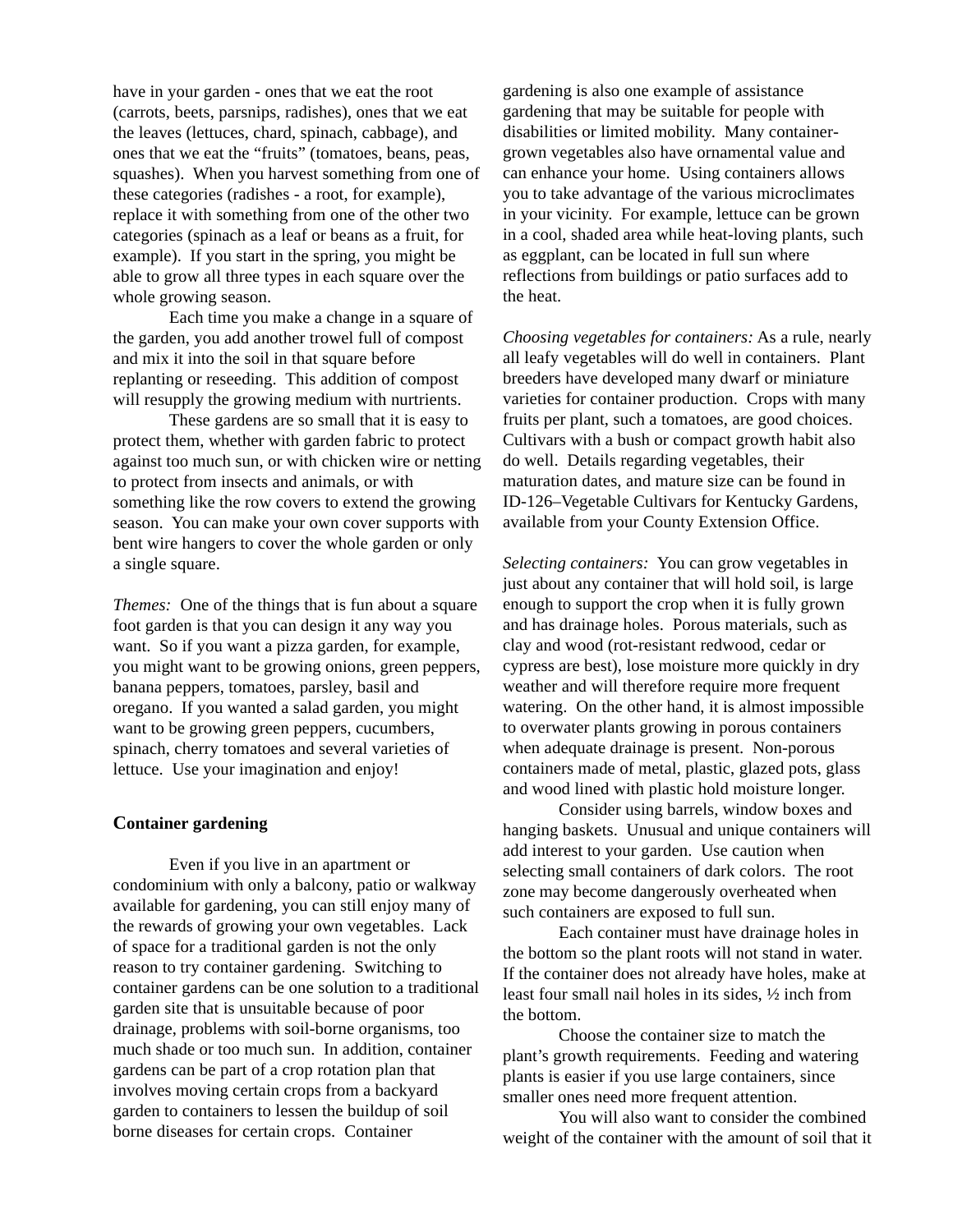have in your garden - ones that we eat the root (carrots, beets, parsnips, radishes), ones that we eat the leaves (lettuces, chard, spinach, cabbage), and ones that we eat the "fruits" (tomatoes, beans, peas, squashes). When you harvest something from one of these categories (radishes - a root, for example), replace it with something from one of the other two categories (spinach as a leaf or beans as a fruit, for example). If you start in the spring, you might be able to grow all three types in each square over the whole growing season.

Each time you make a change in a square of the garden, you add another trowel full of compost and mix it into the soil in that square before replanting or reseeding. This addition of compost will resupply the growing medium with nurtrients.

These gardens are so small that it is easy to protect them, whether with garden fabric to protect against too much sun, or with chicken wire or netting to protect from insects and animals, or with something like the row covers to extend the growing season. You can make your own cover supports with bent wire hangers to cover the whole garden or only a single square.

*Themes:* One of the things that is fun about a square foot garden is that you can design it any way you want. So if you want a pizza garden, for example, you might want to be growing onions, green peppers, banana peppers, tomatoes, parsley, basil and oregano. If you wanted a salad garden, you might want to be growing green peppers, cucumbers, spinach, cherry tomatoes and several varieties of lettuce. Use your imagination and enjoy!

#### **Container gardening**

Even if you live in an apartment or condominium with only a balcony, patio or walkway available for gardening, you can still enjoy many of the rewards of growing your own vegetables. Lack of space for a traditional garden is not the only reason to try container gardening. Switching to container gardens can be one solution to a traditional garden site that is unsuitable because of poor drainage, problems with soil-borne organisms, too much shade or too much sun. In addition, container gardens can be part of a crop rotation plan that involves moving certain crops from a backyard garden to containers to lessen the buildup of soil borne diseases for certain crops. Container

gardening is also one example of assistance gardening that may be suitable for people with disabilities or limited mobility. Many containergrown vegetables also have ornamental value and can enhance your home. Using containers allows you to take advantage of the various microclimates in your vicinity. For example, lettuce can be grown in a cool, shaded area while heat-loving plants, such as eggplant, can be located in full sun where reflections from buildings or patio surfaces add to the heat.

*Choosing vegetables for containers:* As a rule, nearly all leafy vegetables will do well in containers. Plant breeders have developed many dwarf or miniature varieties for container production. Crops with many fruits per plant, such a tomatoes, are good choices. Cultivars with a bush or compact growth habit also do well. Details regarding vegetables, their maturation dates, and mature size can be found in ID-126–Vegetable Cultivars for Kentucky Gardens, available from your County Extension Office.

*Selecting containers:* You can grow vegetables in just about any container that will hold soil, is large enough to support the crop when it is fully grown and has drainage holes. Porous materials, such as clay and wood (rot-resistant redwood, cedar or cypress are best), lose moisture more quickly in dry weather and will therefore require more frequent watering. On the other hand, it is almost impossible to overwater plants growing in porous containers when adequate drainage is present. Non-porous containers made of metal, plastic, glazed pots, glass and wood lined with plastic hold moisture longer.

Consider using barrels, window boxes and hanging baskets. Unusual and unique containers will add interest to your garden. Use caution when selecting small containers of dark colors. The root zone may become dangerously overheated when such containers are exposed to full sun.

Each container must have drainage holes in the bottom so the plant roots will not stand in water. If the container does not already have holes, make at least four small nail holes in its sides, ½ inch from the bottom.

Choose the container size to match the plant's growth requirements. Feeding and watering plants is easier if you use large containers, since smaller ones need more frequent attention.

You will also want to consider the combined weight of the container with the amount of soil that it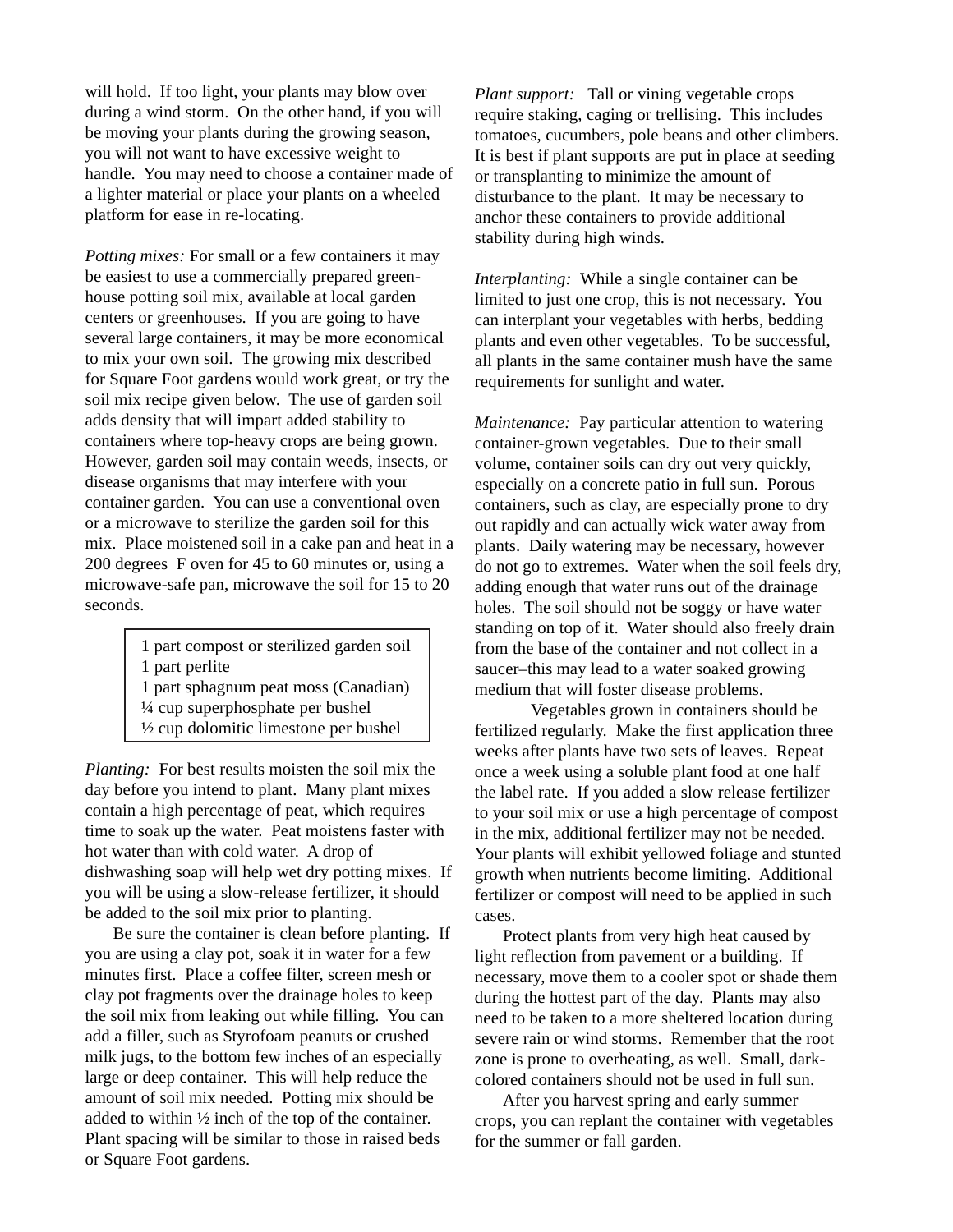will hold. If too light, your plants may blow over during a wind storm. On the other hand, if you will be moving your plants during the growing season, you will not want to have excessive weight to handle. You may need to choose a container made of a lighter material or place your plants on a wheeled platform for ease in re-locating.

*Potting mixes:* For small or a few containers it may be easiest to use a commercially prepared greenhouse potting soil mix, available at local garden centers or greenhouses. If you are going to have several large containers, it may be more economical to mix your own soil. The growing mix described for Square Foot gardens would work great, or try the soil mix recipe given below. The use of garden soil adds density that will impart added stability to containers where top-heavy crops are being grown. However, garden soil may contain weeds, insects, or disease organisms that may interfere with your container garden. You can use a conventional oven or a microwave to sterilize the garden soil for this mix. Place moistened soil in a cake pan and heat in a 200 degrees F oven for 45 to 60 minutes or, using a microwave-safe pan, microwave the soil for 15 to 20 seconds.

> 1 part compost or sterilized garden soil 1 part perlite

1 part sphagnum peat moss (Canadian) ¼ cup superphosphate per bushel  $\frac{1}{2}$  cup dolomitic limestone per bushel

*Planting:* For best results moisten the soil mix the day before you intend to plant. Many plant mixes contain a high percentage of peat, which requires time to soak up the water. Peat moistens faster with hot water than with cold water. A drop of dishwashing soap will help wet dry potting mixes. If you will be using a slow-release fertilizer, it should be added to the soil mix prior to planting.

Be sure the container is clean before planting. If you are using a clay pot, soak it in water for a few minutes first. Place a coffee filter, screen mesh or clay pot fragments over the drainage holes to keep the soil mix from leaking out while filling. You can add a filler, such as Styrofoam peanuts or crushed milk jugs, to the bottom few inches of an especially large or deep container. This will help reduce the amount of soil mix needed. Potting mix should be added to within ½ inch of the top of the container. Plant spacing will be similar to those in raised beds or Square Foot gardens.

*Plant support:* Tall or vining vegetable crops require staking, caging or trellising. This includes tomatoes, cucumbers, pole beans and other climbers. It is best if plant supports are put in place at seeding or transplanting to minimize the amount of disturbance to the plant. It may be necessary to anchor these containers to provide additional stability during high winds.

*Interplanting:* While a single container can be limited to just one crop, this is not necessary. You can interplant your vegetables with herbs, bedding plants and even other vegetables. To be successful, all plants in the same container mush have the same requirements for sunlight and water.

*Maintenance:* Pay particular attention to watering container-grown vegetables. Due to their small volume, container soils can dry out very quickly, especially on a concrete patio in full sun. Porous containers, such as clay, are especially prone to dry out rapidly and can actually wick water away from plants. Daily watering may be necessary, however do not go to extremes. Water when the soil feels dry, adding enough that water runs out of the drainage holes. The soil should not be soggy or have water standing on top of it. Water should also freely drain from the base of the container and not collect in a saucer–this may lead to a water soaked growing medium that will foster disease problems.

Vegetables grown in containers should be fertilized regularly. Make the first application three weeks after plants have two sets of leaves. Repeat once a week using a soluble plant food at one half the label rate. If you added a slow release fertilizer to your soil mix or use a high percentage of compost in the mix, additional fertilizer may not be needed. Your plants will exhibit yellowed foliage and stunted growth when nutrients become limiting. Additional fertilizer or compost will need to be applied in such cases.

Protect plants from very high heat caused by light reflection from pavement or a building. If necessary, move them to a cooler spot or shade them during the hottest part of the day. Plants may also need to be taken to a more sheltered location during severe rain or wind storms. Remember that the root zone is prone to overheating, as well. Small, darkcolored containers should not be used in full sun.

After you harvest spring and early summer crops, you can replant the container with vegetables for the summer or fall garden.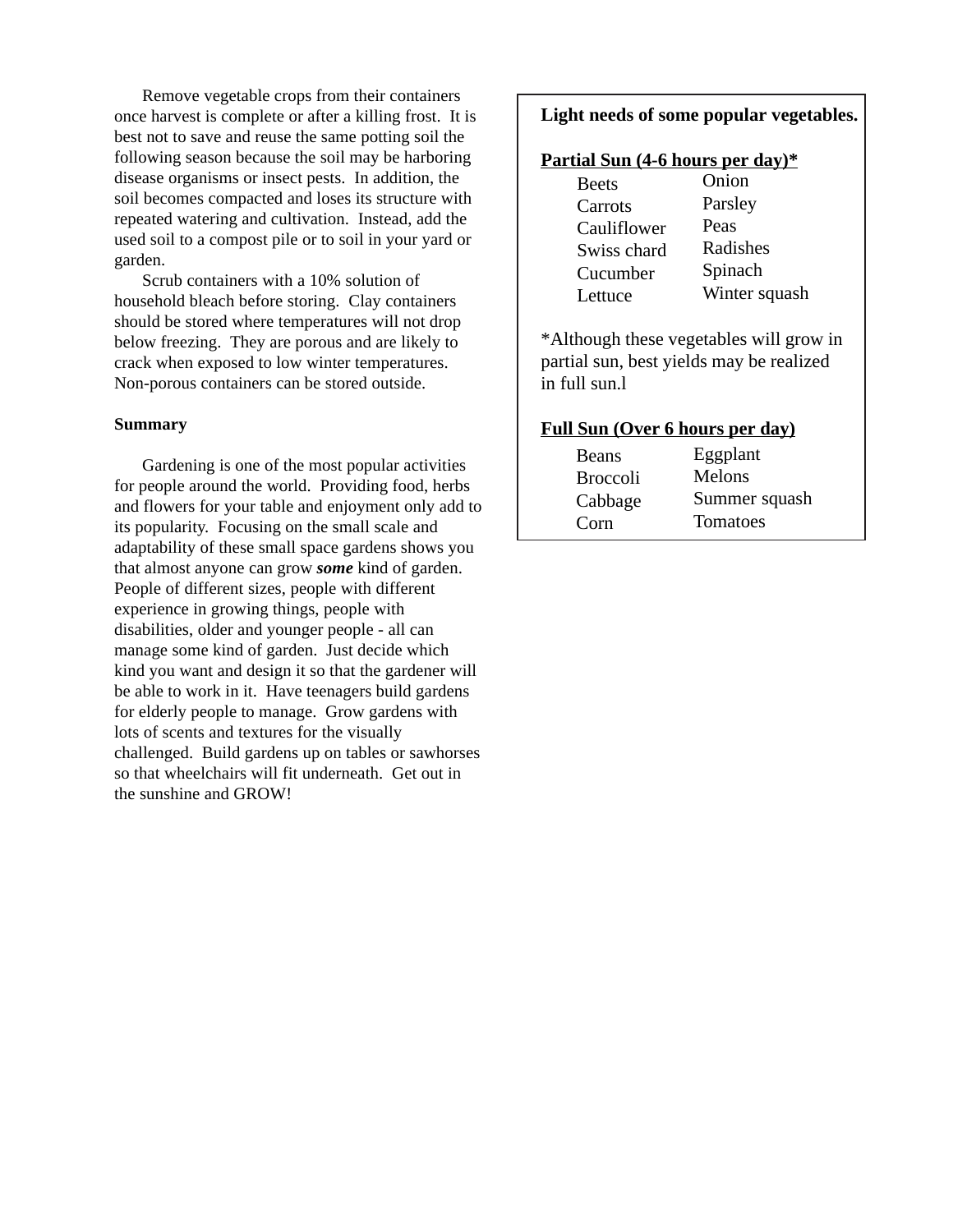Remove vegetable crops from their containers once harvest is complete or after a killing frost. It is best not to save and reuse the same potting soil the following season because the soil may be harboring disease organisms or insect pests. In addition, the soil becomes compacted and loses its structure with repeated watering and cultivation. Instead, add the used soil to a compost pile or to soil in your yard or garden.

Scrub containers with a 10% solution of household bleach before storing. Clay containers should be stored where temperatures will not drop below freezing. They are porous and are likely to crack when exposed to low winter temperatures. Non-porous containers can be stored outside.

#### **Summary**

Gardening is one of the most popular activities for people around the world. Providing food, herbs and flowers for your table and enjoyment only add to its popularity. Focusing on the small scale and adaptability of these small space gardens shows you that almost anyone can grow *some* kind of garden. People of different sizes, people with different experience in growing things, people with disabilities, older and younger people - all can manage some kind of garden. Just decide which kind you want and design it so that the gardener will be able to work in it. Have teenagers build gardens for elderly people to manage. Grow gardens with lots of scents and textures for the visually challenged. Build gardens up on tables or sawhorses so that wheelchairs will fit underneath. Get out in the sunshine and GROW!

### **Light needs of some popular vegetables.**

#### **Partial Sun (4-6 hours per day)\***

| <b>Beets</b> | Onion         |
|--------------|---------------|
| Carrots      | Parsley       |
| Cauliflower  | Peas          |
| Swiss chard  | Radishes      |
| Cucumber     | Spinach       |
| Lettuce      | Winter squash |
|              |               |

\*Although these vegetables will grow in partial sun, best yields may be realized in full sun.l

#### **Full Sun (Over 6 hours per day)**

| <b>Beans</b>    | Eggplant        |
|-----------------|-----------------|
| <b>Broccoli</b> | Melons          |
| Cabbage         | Summer squash   |
| Corn            | <b>Tomatoes</b> |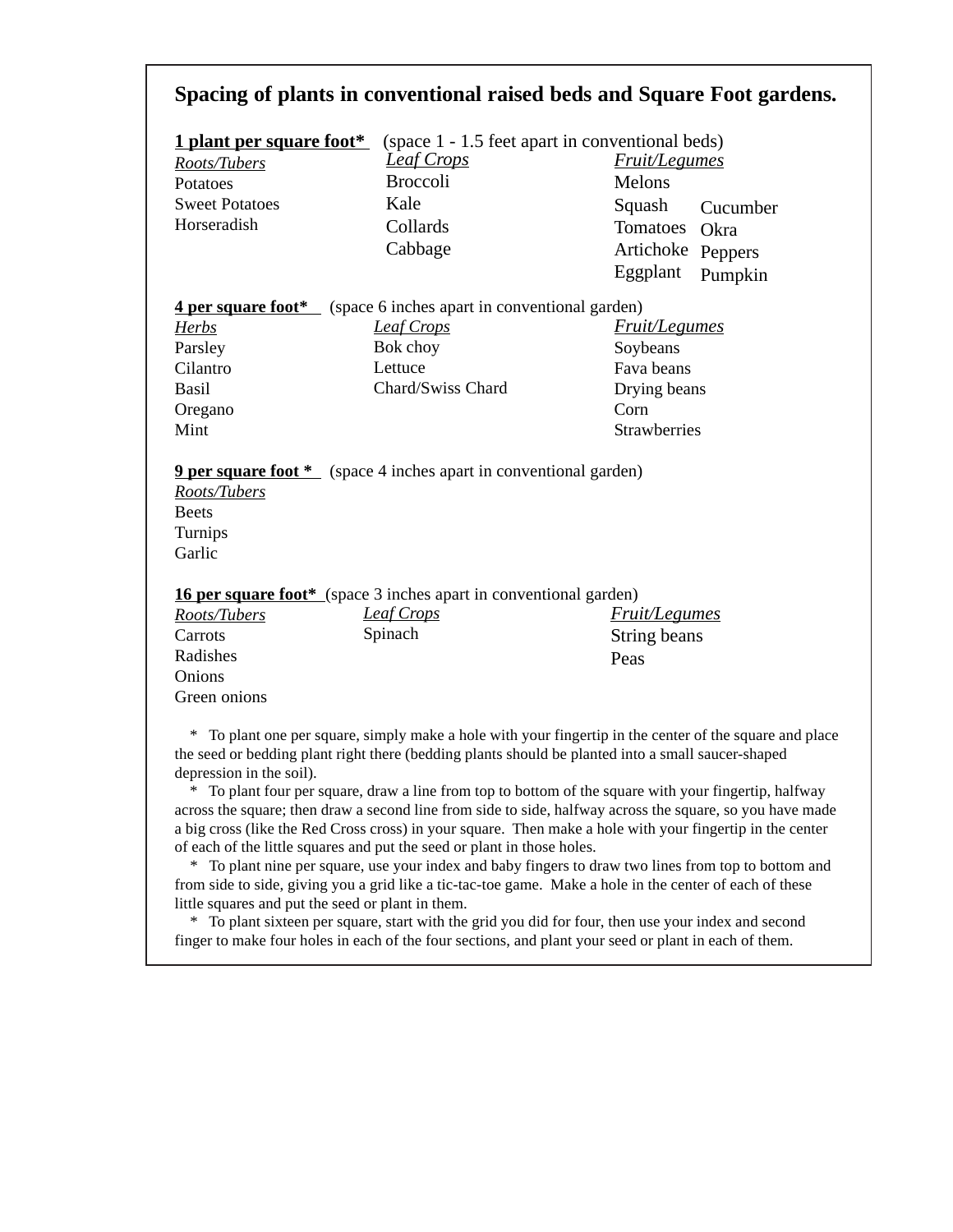# **Spacing of plants in conventional raised beds and Square Foot gardens.**

| <u>1 plant per square foot*</u> |                   | (space 1 - 1.5 feet apart in conventional beds) |                      |  |
|---------------------------------|-------------------|-------------------------------------------------|----------------------|--|
| Roots/Tubers                    | <u>Leaf Crops</u> |                                                 | <b>Fruit/Legumes</b> |  |
| Potatoes                        | <b>Broccoli</b>   | Melons                                          |                      |  |
| <b>Sweet Potatoes</b>           | Kale              |                                                 | Squash Cucumber      |  |
| Horseradish                     | Collards          | Tomatoes Okra                                   |                      |  |
|                                 | Cabbage           | Artichoke Peppers                               |                      |  |
|                                 |                   | Eggplant Pumpkin                                |                      |  |

**4 per square foot\*** (space 6 inches apart in conventional garden)

*Herbs* Parsley Cilantro Basil Oregano Mint

*Leaf Crops* Bok choy Lettuce Chard/Swiss Chard

*Fruit/Legumes* Soybeans Fava beans Drying beans Corn Strawberries

**9 per square foot** \* (space 4 inches apart in conventional garden)

*Roots/Tubers* Beets Turnips Garlic

**16 per square foot\*** (space 3 inches apart in conventional garden)

| Leaf Crops | <i>Fruit/Legumes</i> |
|------------|----------------------|
| Spinach    | String beans         |
|            | Peas                 |
|            |                      |
|            |                      |
|            |                      |

 \* To plant one per square, simply make a hole with your fingertip in the center of the square and place the seed or bedding plant right there (bedding plants should be planted into a small saucer-shaped depression in the soil).

 \* To plant four per square, draw a line from top to bottom of the square with your fingertip, halfway across the square; then draw a second line from side to side, halfway across the square, so you have made a big cross (like the Red Cross cross) in your square. Then make a hole with your fingertip in the center of each of the little squares and put the seed or plant in those holes.

 \* To plant nine per square, use your index and baby fingers to draw two lines from top to bottom and from side to side, giving you a grid like a tic-tac-toe game. Make a hole in the center of each of these little squares and put the seed or plant in them.

 \* To plant sixteen per square, start with the grid you did for four, then use your index and second finger to make four holes in each of the four sections, and plant your seed or plant in each of them.